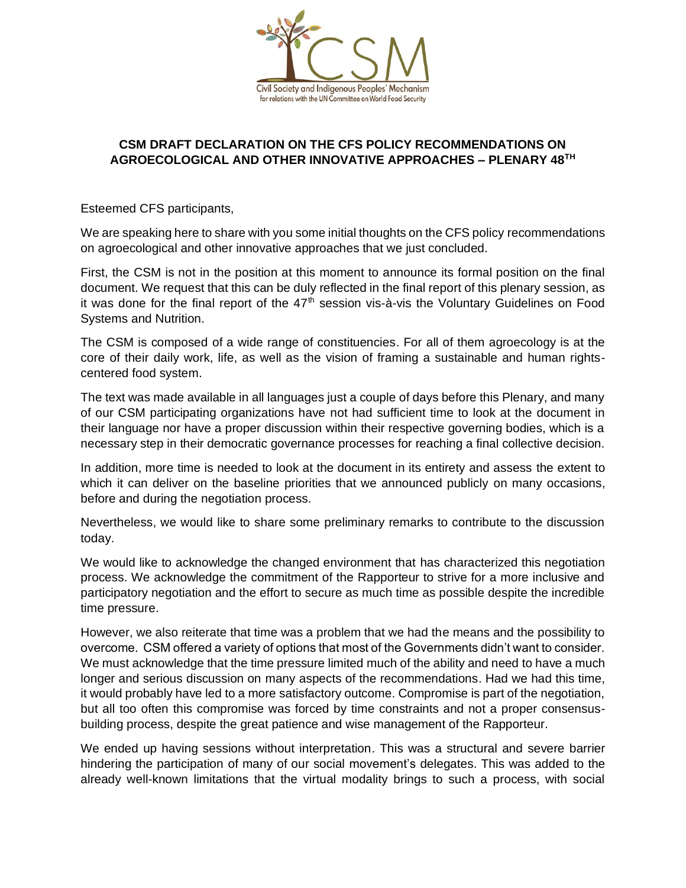

## **CSM DRAFT DECLARATION ON THE CFS POLICY RECOMMENDATIONS ON AGROECOLOGICAL AND OTHER INNOVATIVE APPROACHES – PLENARY 48TH**

Esteemed CFS participants,

We are speaking here to share with you some initial thoughts on the CFS policy recommendations on agroecological and other innovative approaches that we just concluded.

First, the CSM is not in the position at this moment to announce its formal position on the final document. We request that this can be duly reflected in the final report of this plenary session, as it was done for the final report of the  $47<sup>th</sup>$  session vis-à-vis the Voluntary Guidelines on Food Systems and Nutrition.

The CSM is composed of a wide range of constituencies. For all of them agroecology is at the core of their daily work, life, as well as the vision of framing a sustainable and human rightscentered food system.

The text was made available in all languages just a couple of days before this Plenary, and many of our CSM participating organizations have not had sufficient time to look at the document in their language nor have a proper discussion within their respective governing bodies, which is a necessary step in their democratic governance processes for reaching a final collective decision.

In addition, more time is needed to look at the document in its entirety and assess the extent to which it can deliver on the baseline priorities that we announced publicly on many occasions, before and during the negotiation process.

Nevertheless, we would like to share some preliminary remarks to contribute to the discussion today.

We would like to acknowledge the changed environment that has characterized this negotiation process. We acknowledge the commitment of the Rapporteur to strive for a more inclusive and participatory negotiation and the effort to secure as much time as possible despite the incredible time pressure.

However, we also reiterate that time was a problem that we had the means and the possibility to overcome. CSM offered a variety of options that most of the Governments didn't want to consider. We must acknowledge that the time pressure limited much of the ability and need to have a much longer and serious discussion on many aspects of the recommendations. Had we had this time, it would probably have led to a more satisfactory outcome. Compromise is part of the negotiation, but all too often this compromise was forced by time constraints and not a proper consensusbuilding process, despite the great patience and wise management of the Rapporteur.

We ended up having sessions without interpretation. This was a structural and severe barrier hindering the participation of many of our social movement's delegates. This was added to the already well-known limitations that the virtual modality brings to such a process, with social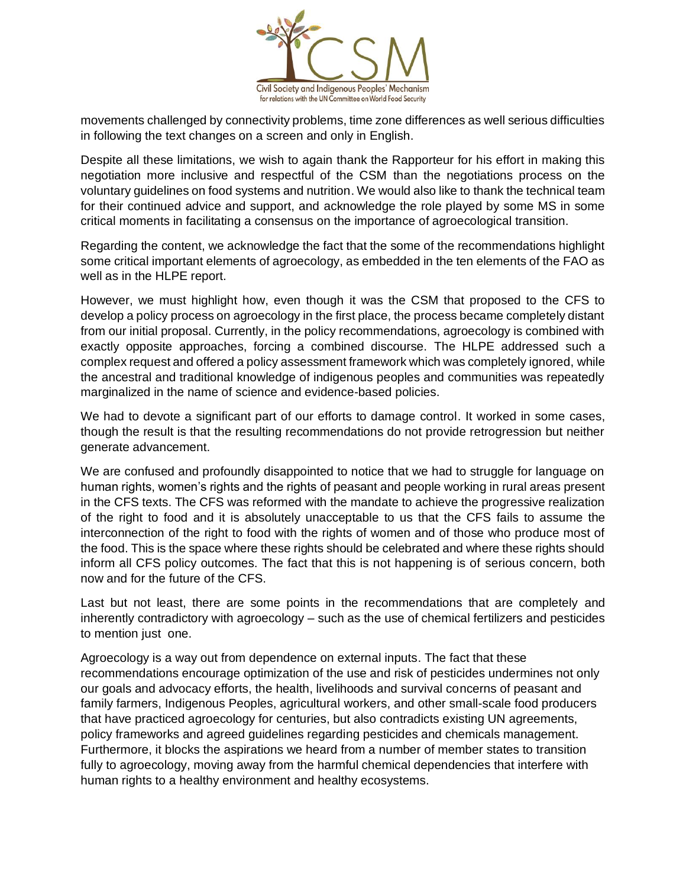

movements challenged by connectivity problems, time zone differences as well serious difficulties in following the text changes on a screen and only in English.

Despite all these limitations, we wish to again thank the Rapporteur for his effort in making this negotiation more inclusive and respectful of the CSM than the negotiations process on the voluntary guidelines on food systems and nutrition. We would also like to thank the technical team for their continued advice and support, and acknowledge the role played by some MS in some critical moments in facilitating a consensus on the importance of agroecological transition.

Regarding the content, we acknowledge the fact that the some of the recommendations highlight some critical important elements of agroecology, as embedded in the ten elements of the FAO as well as in the HLPE report.

However, we must highlight how, even though it was the CSM that proposed to the CFS to develop a policy process on agroecology in the first place, the process became completely distant from our initial proposal. Currently, in the policy recommendations, agroecology is combined with exactly opposite approaches, forcing a combined discourse. The HLPE addressed such a complex request and offered a policy assessment framework which was completely ignored, while the ancestral and traditional knowledge of indigenous peoples and communities was repeatedly marginalized in the name of science and evidence-based policies.

We had to devote a significant part of our efforts to damage control. It worked in some cases, though the result is that the resulting recommendations do not provide retrogression but neither generate advancement.

We are confused and profoundly disappointed to notice that we had to struggle for language on human rights, women's rights and the rights of peasant and people working in rural areas present in the CFS texts. The CFS was reformed with the mandate to achieve the progressive realization of the right to food and it is absolutely unacceptable to us that the CFS fails to assume the interconnection of the right to food with the rights of women and of those who produce most of the food. This is the space where these rights should be celebrated and where these rights should inform all CFS policy outcomes. The fact that this is not happening is of serious concern, both now and for the future of the CFS.

Last but not least, there are some points in the recommendations that are completely and inherently contradictory with agroecology – such as the use of chemical fertilizers and pesticides to mention just one.

Agroecology is a way out from dependence on external inputs. The fact that these recommendations encourage optimization of the use and risk of pesticides undermines not only our goals and advocacy efforts, the health, livelihoods and survival concerns of peasant and family farmers, Indigenous Peoples, agricultural workers, and other small-scale food producers that have practiced agroecology for centuries, but also contradicts existing UN agreements, policy frameworks and agreed guidelines regarding pesticides and chemicals management. Furthermore, it blocks the aspirations we heard from a number of member states to transition fully to agroecology, moving away from the harmful chemical dependencies that interfere with human rights to a healthy environment and healthy ecosystems.